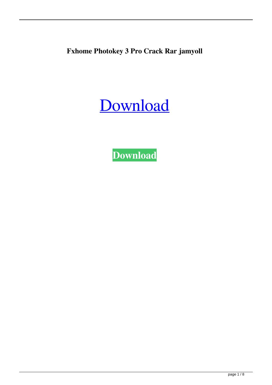**Fxhome Photokey 3 Pro Crack Rar jamyoll**

[Download](http://evacdir.com/?hospitals=iberality/Rnhob21lIFBob3Rva2V5IDMgUHJvIENyYWNrIFJhcgRnh/mystifying/ZG93bmxvYWR8UFA1TW1veU0zeDhNVFkxTWpRMk16QTFNSHg4TWpVM05IeDhLRTBwSUhKbFlXUXRZbXh2WnlCYlJtRnpkQ0JIUlU1ZA/prey/repressing/riches/glaza)

**[Download](http://evacdir.com/?hospitals=iberality/Rnhob21lIFBob3Rva2V5IDMgUHJvIENyYWNrIFJhcgRnh/mystifying/ZG93bmxvYWR8UFA1TW1veU0zeDhNVFkxTWpRMk16QTFNSHg4TWpVM05IeDhLRTBwSUhKbFlXUXRZbXh2WnlCYlJtRnpkQ0JIUlU1ZA/prey/repressing/riches/glaza)**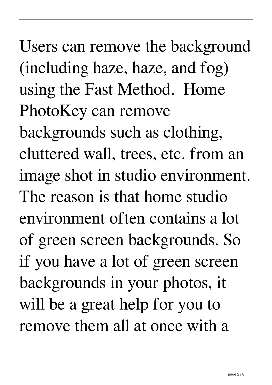Users can remove the background (including haze, haze, and fog) using the Fast Method. Home PhotoKey can remove backgrounds such as clothing, cluttered wall, trees, etc. from an image shot in studio environment. The reason is that home studio environment often contains a lot of green screen backgrounds. So if you have a lot of green screen backgrounds in your photos, it will be a great help for you to remove them all at once with a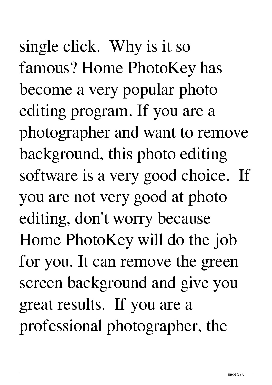single click. Why is it so famous? Home PhotoKey has become a very popular photo editing program. If you are a photographer and want to remove background, this photo editing software is a very good choice. If you are not very good at photo editing, don't worry because Home PhotoKey will do the job for you. It can remove the green screen background and give you great results. If you are a professional photographer, the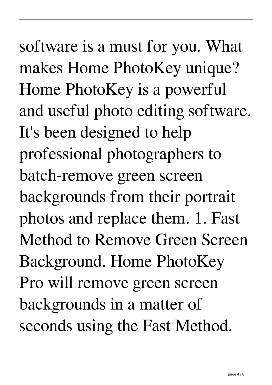software is a must for you. What makes Home PhotoKey unique? Home PhotoKey is a powerful and useful photo editing software. It's been designed to help professional photographers to batch-remove green screen backgrounds from their portrait photos and replace them. 1. Fast Method to Remove Green Screen Background. Home PhotoKey Pro will remove green screen backgrounds in a matter of seconds using the Fast Method.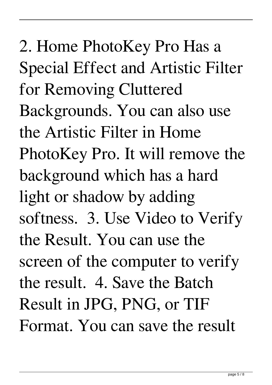2. Home PhotoKey Pro Has a Special Effect and Artistic Filter for Removing Cluttered Backgrounds. You can also use the Artistic Filter in Home PhotoKey Pro. It will remove the background which has a hard light or shadow by adding softness. 3. Use Video to Verify the Result. You can use the screen of the computer to verify the result. 4. Save the Batch Result in JPG, PNG, or TIF Format. You can save the result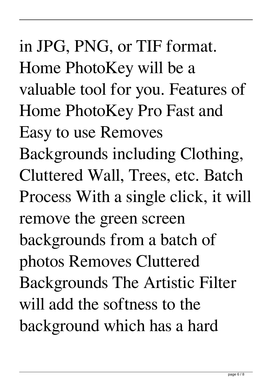in JPG, PNG, or TIF format. Home PhotoKey will be a valuable tool for you. Features of Home PhotoKey Pro Fast and Easy to use Removes Backgrounds including Clothing, Cluttered Wall, Trees, etc. Batch Process With a single click, it will remove the green screen backgrounds from a batch of photos Removes Cluttered Backgrounds The Artistic Filter will add the softness to the background which has a hard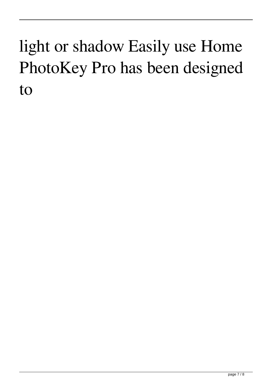## light or shadow Easily use Home PhotoKey Pro has been designed to